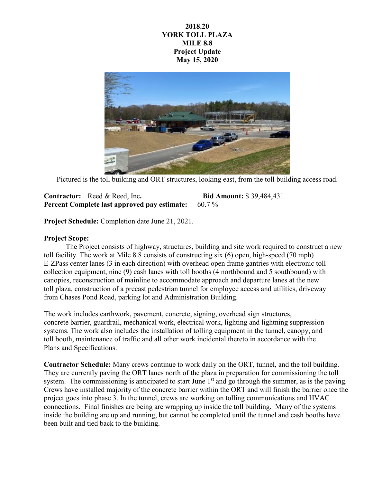## **2018.20 YORK TOLL PLAZA MILE 8.8 Project Update May 15, 2020**



Pictured is the toll building and ORT structures, looking east, from the toll building access road.

## **Contractor:** Reed & Reed, Inc**. Bid Amount:** \$ 39,484,431 **Percent Complete last approved pay estimate:** 60.7 %

**Project Schedule:** Completion date June 21, 2021.

## **Project Scope:**

The Project consists of highway, structures, building and site work required to construct a new toll facility. The work at Mile 8.8 consists of constructing six (6) open, high-speed (70 mph) E-ZPass center lanes (3 in each direction) with overhead open frame gantries with electronic toll collection equipment, nine (9) cash lanes with toll booths (4 northbound and 5 southbound) with canopies, reconstruction of mainline to accommodate approach and departure lanes at the new toll plaza, construction of a precast pedestrian tunnel for employee access and utilities, driveway from Chases Pond Road, parking lot and Administration Building.

The work includes earthwork, pavement, concrete, signing, overhead sign structures, concrete barrier, guardrail, mechanical work, electrical work, lighting and lightning suppression systems. The work also includes the installation of tolling equipment in the tunnel, canopy, and toll booth, maintenance of traffic and all other work incidental thereto in accordance with the Plans and Specifications.

**Contractor Schedule:** Many crews continue to work daily on the ORT, tunnel, and the toll building. They are currently paving the ORT lanes north of the plaza in preparation for commissioning the toll system. The commissioning is anticipated to start June  $1<sup>st</sup>$  and go through the summer, as is the paving. Crews have installed majority of the concrete barrier within the ORT and will finish the barrier once the project goes into phase 3. In the tunnel, crews are working on tolling communications and HVAC connections. Final finishes are being are wrapping up inside the toll building. Many of the systems inside the building are up and running, but cannot be completed until the tunnel and cash booths have been built and tied back to the building.